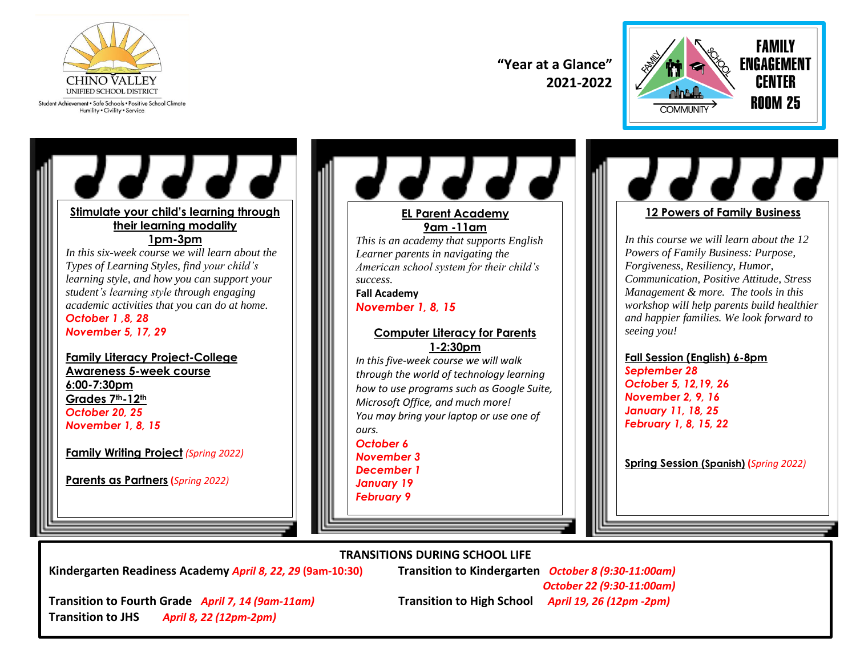

Student Achievement . Safe Schools . Positive School Climate Humility . Civility . Service

**"Year at a Glance" 2021-2022**



77777 **Stimulate your child's learning through their learning modality 1pm-3pm** *In this six-week course we will learn about the Types of Learning Styles, find your child's learning style, and how you can support your student's learning style through engaging academic activities that you can do at home. October 1 ,8, 28 November 5, 17, 29* **Family Literacy Project-College Awareness 5-week course 6:00-7:30pm Grades 7th-12th**  *October 20, 25 November 1, 8, 15* **Family Writing Project** *(Spring 2022)* **Parents as Partners (***Spring 2022)*



**TRANSITIONS DURING SCHOOL LIFE**

┙┙┙┙┙ **12 Powers of Family Business**

*In this course we will learn about the 12 Powers of Family Business: Purpose, Forgiveness, Resiliency, Humor, Communication, Positive Attitude, Stress Management & more. The tools in this workshop will help parents build healthier and happier families. We look forward to seeing you!*

#### **Fall Session (English) 6-8pm**

*September 28 October 5, 12,19, 26 November 2, 9, 16 January 11, 18, 25 February 1, 8, 15, 22*

**Spring Session (Spanish) (***Spring 2022)*

**Kindergarten Readiness Academy** *April 8, 22, 29* **(9am-10:30) Transition to Kindergarten** *October 8 (9:30-11:00am)*

 *October 22 (9:30-11:00am)*

**Transition to Fourth Grade** *April 7, 14 (9am-11am)* **Transition to High School** *April 19, 26 (12pm -2pm)* **Transition to JHS** *April 8, 22 (12pm-2pm)*